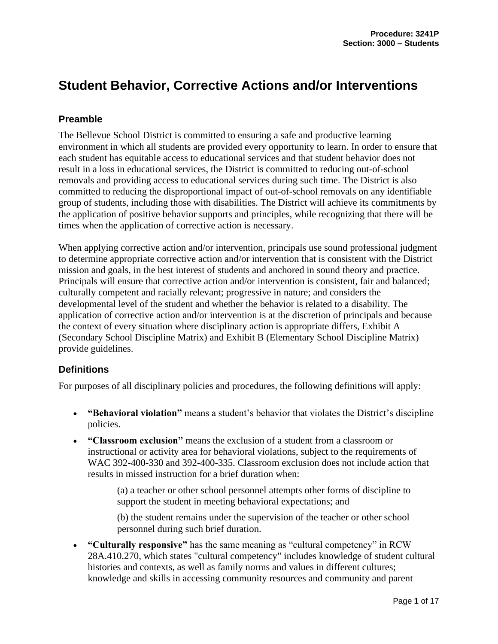# **Student Behavior, Corrective Actions and/or Interventions**

# **Preamble**

The Bellevue School District is committed to ensuring a safe and productive learning environment in which all students are provided every opportunity to learn. In order to ensure that each student has equitable access to educational services and that student behavior does not result in a loss in educational services, the District is committed to reducing out-of-school removals and providing access to educational services during such time. The District is also committed to reducing the disproportional impact of out-of-school removals on any identifiable group of students, including those with disabilities. The District will achieve its commitments by the application of positive behavior supports and principles, while recognizing that there will be times when the application of corrective action is necessary.

When applying corrective action and/or intervention, principals use sound professional judgment to determine appropriate corrective action and/or intervention that is consistent with the District mission and goals, in the best interest of students and anchored in sound theory and practice. Principals will ensure that corrective action and/or intervention is consistent, fair and balanced; culturally competent and racially relevant; progressive in nature; and considers the developmental level of the student and whether the behavior is related to a disability. The application of corrective action and/or intervention is at the discretion of principals and because the context of every situation where disciplinary action is appropriate differs, Exhibit A (Secondary School Discipline Matrix) and Exhibit B (Elementary School Discipline Matrix) provide guidelines.

# **Definitions**

For purposes of all disciplinary policies and procedures, the following definitions will apply:

- **"Behavioral violation"** means a student's behavior that violates the District's discipline policies.
- **"Classroom exclusion"** means the exclusion of a student from a classroom or instructional or activity area for behavioral violations, subject to the requirements of WAC 392-400-330 and 392-400-335. Classroom exclusion does not include action that results in missed instruction for a brief duration when:

(a) a teacher or other school personnel attempts other forms of discipline to support the student in meeting behavioral expectations; and

(b) the student remains under the supervision of the teacher or other school personnel during such brief duration.

• **"Culturally responsive"** has the same meaning as "cultural competency" in RCW 28A.410.270, which states "cultural competency" includes knowledge of student cultural histories and contexts, as well as family norms and values in different cultures; knowledge and skills in accessing community resources and community and parent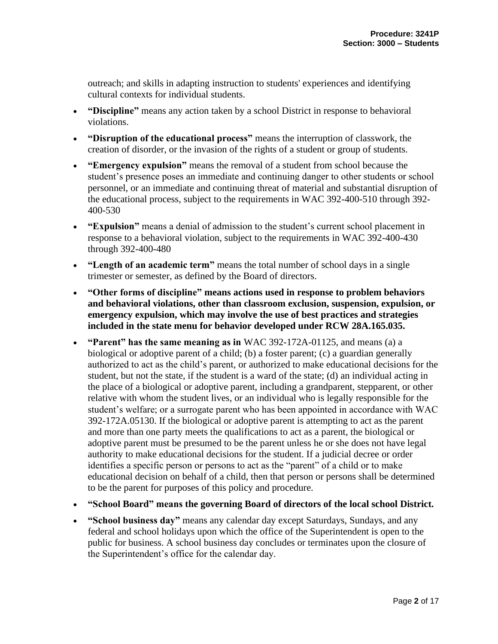outreach; and skills in adapting instruction to students' experiences and identifying cultural contexts for individual students.

- **"Discipline"** means any action taken by a school District in response to behavioral violations.
- **"Disruption of the educational process"** means the interruption of classwork, the creation of disorder, or the invasion of the rights of a student or group of students.
- **"Emergency expulsion"** means the removal of a student from school because the student's presence poses an immediate and continuing danger to other students or school personnel, or an immediate and continuing threat of material and substantial disruption of the educational process, subject to the requirements in WAC 392-400-510 through 392- 400-530
- **"Expulsion"** means a denial of admission to the student's current school placement in response to a behavioral violation, subject to the requirements in WAC 392-400-430 through 392-400-480
- **"Length of an academic term"** means the total number of school days in a single trimester or semester, as defined by the Board of directors.
- **"Other forms of discipline" means actions used in response to problem behaviors and behavioral violations, other than classroom exclusion, suspension, expulsion, or emergency expulsion, which may involve the use of best practices and strategies included in the state menu for behavior developed under RCW 28A.165.035.**
- **"Parent" has the same meaning as in** WAC 392-172A-01125, and means (a) a biological or adoptive parent of a child; (b) a foster parent; (c) a guardian generally authorized to act as the child's parent, or authorized to make educational decisions for the student, but not the state, if the student is a ward of the state; (d) an individual acting in the place of a biological or adoptive parent, including a grandparent, stepparent, or other relative with whom the student lives, or an individual who is legally responsible for the student's welfare; or a surrogate parent who has been appointed in accordance with WAC 392-172A.05130. If the biological or adoptive parent is attempting to act as the parent and more than one party meets the qualifications to act as a parent, the biological or adoptive parent must be presumed to be the parent unless he or she does not have legal authority to make educational decisions for the student. If a judicial decree or order identifies a specific person or persons to act as the "parent" of a child or to make educational decision on behalf of a child, then that person or persons shall be determined to be the parent for purposes of this policy and procedure.
- **"School Board" means the governing Board of directors of the local school District.**
- **"School business day"** means any calendar day except Saturdays, Sundays, and any federal and school holidays upon which the office of the Superintendent is open to the public for business. A school business day concludes or terminates upon the closure of the Superintendent's office for the calendar day.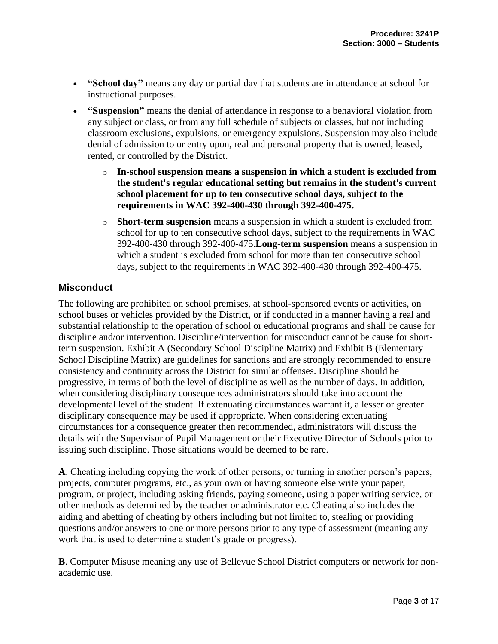- **"School day"** means any day or partial day that students are in attendance at school for instructional purposes.
- **"Suspension"** means the denial of attendance in response to a behavioral violation from any subject or class, or from any full schedule of subjects or classes, but not including classroom exclusions, expulsions, or emergency expulsions. Suspension may also include denial of admission to or entry upon, real and personal property that is owned, leased, rented, or controlled by the District.
	- o **In-school suspension means a suspension in which a student is excluded from the student's regular educational setting but remains in the student's current school placement for up to ten consecutive school days, subject to the requirements in WAC 392-400-430 through 392-400-475.**
	- o **Short-term suspension** means a suspension in which a student is excluded from school for up to ten consecutive school days, subject to the requirements in WAC 392-400-430 through 392-400-475.**Long-term suspension** means a suspension in which a student is excluded from school for more than ten consecutive school days, subject to the requirements in WAC 392-400-430 through 392-400-475.

# **Misconduct**

The following are prohibited on school premises, at school-sponsored events or activities, on school buses or vehicles provided by the District, or if conducted in a manner having a real and substantial relationship to the operation of school or educational programs and shall be cause for discipline and/or intervention. Discipline/intervention for misconduct cannot be cause for shortterm suspension. Exhibit A (Secondary School Discipline Matrix) and Exhibit B (Elementary School Discipline Matrix) are guidelines for sanctions and are strongly recommended to ensure consistency and continuity across the District for similar offenses. Discipline should be progressive, in terms of both the level of discipline as well as the number of days. In addition, when considering disciplinary consequences administrators should take into account the developmental level of the student. If extenuating circumstances warrant it, a lesser or greater disciplinary consequence may be used if appropriate. When considering extenuating circumstances for a consequence greater then recommended, administrators will discuss the details with the Supervisor of Pupil Management or their Executive Director of Schools prior to issuing such discipline. Those situations would be deemed to be rare.

**A**. Cheating including copying the work of other persons, or turning in another person's papers, projects, computer programs, etc., as your own or having someone else write your paper, program, or project, including asking friends, paying someone, using a paper writing service, or other methods as determined by the teacher or administrator etc. Cheating also includes the aiding and abetting of cheating by others including but not limited to, stealing or providing questions and/or answers to one or more persons prior to any type of assessment (meaning any work that is used to determine a student's grade or progress).

**B**. Computer Misuse meaning any use of Bellevue School District computers or network for nonacademic use.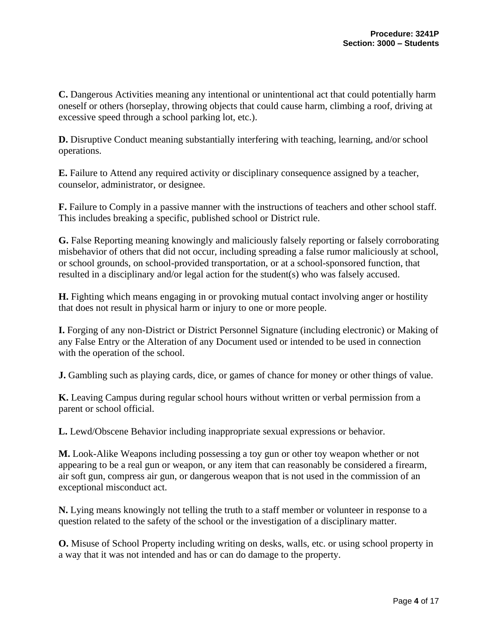**C.** Dangerous Activities meaning any intentional or unintentional act that could potentially harm oneself or others (horseplay, throwing objects that could cause harm, climbing a roof, driving at excessive speed through a school parking lot, etc.).

**D.** Disruptive Conduct meaning substantially interfering with teaching, learning, and/or school operations.

**E.** Failure to Attend any required activity or disciplinary consequence assigned by a teacher, counselor, administrator, or designee.

**F.** Failure to Comply in a passive manner with the instructions of teachers and other school staff. This includes breaking a specific, published school or District rule.

**G.** False Reporting meaning knowingly and maliciously falsely reporting or falsely corroborating misbehavior of others that did not occur, including spreading a false rumor maliciously at school, or school grounds, on school-provided transportation, or at a school-sponsored function, that resulted in a disciplinary and/or legal action for the student(s) who was falsely accused.

**H.** Fighting which means engaging in or provoking mutual contact involving anger or hostility that does not result in physical harm or injury to one or more people.

**I.** Forging of any non-District or District Personnel Signature (including electronic) or Making of any False Entry or the Alteration of any Document used or intended to be used in connection with the operation of the school.

**J.** Gambling such as playing cards, dice, or games of chance for money or other things of value.

**K.** Leaving Campus during regular school hours without written or verbal permission from a parent or school official.

**L.** Lewd/Obscene Behavior including inappropriate sexual expressions or behavior.

**M.** Look-Alike Weapons including possessing a toy gun or other toy weapon whether or not appearing to be a real gun or weapon, or any item that can reasonably be considered a firearm, air soft gun, compress air gun, or dangerous weapon that is not used in the commission of an exceptional misconduct act.

**N.** Lying means knowingly not telling the truth to a staff member or volunteer in response to a question related to the safety of the school or the investigation of a disciplinary matter.

**O.** Misuse of School Property including writing on desks, walls, etc. or using school property in a way that it was not intended and has or can do damage to the property.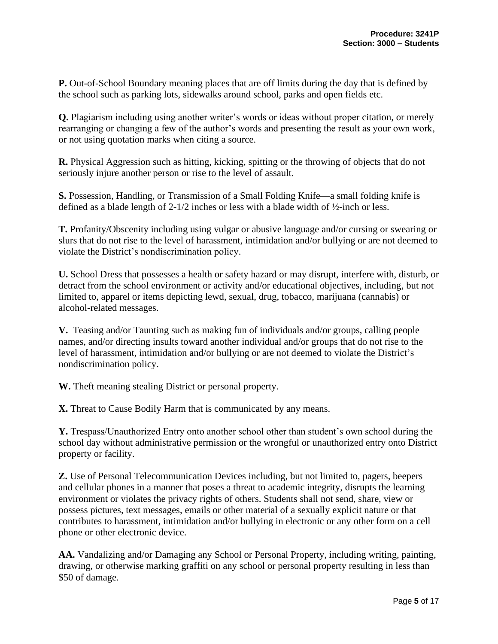**P.** Out-of-School Boundary meaning places that are off limits during the day that is defined by the school such as parking lots, sidewalks around school, parks and open fields etc.

**Q.** Plagiarism including using another writer's words or ideas without proper citation, or merely rearranging or changing a few of the author's words and presenting the result as your own work, or not using quotation marks when citing a source.

**R.** Physical Aggression such as hitting, kicking, spitting or the throwing of objects that do not seriously injure another person or rise to the level of assault.

**S.** Possession, Handling, or Transmission of a Small Folding Knife—a small folding knife is defined as a blade length of 2-1/2 inches or less with a blade width of ½-inch or less.

**T.** Profanity/Obscenity including using vulgar or abusive language and/or cursing or swearing or slurs that do not rise to the level of harassment, intimidation and/or bullying or are not deemed to violate the District's nondiscrimination policy.

**U.** School Dress that possesses a health or safety hazard or may disrupt, interfere with, disturb, or detract from the school environment or activity and/or educational objectives, including, but not limited to, apparel or items depicting lewd, sexual, drug, tobacco, marijuana (cannabis) or alcohol-related messages.

**V.** Teasing and/or Taunting such as making fun of individuals and/or groups, calling people names, and/or directing insults toward another individual and/or groups that do not rise to the level of harassment, intimidation and/or bullying or are not deemed to violate the District's nondiscrimination policy.

**W.** Theft meaning stealing District or personal property.

**X.** Threat to Cause Bodily Harm that is communicated by any means.

**Y.** Trespass/Unauthorized Entry onto another school other than student's own school during the school day without administrative permission or the wrongful or unauthorized entry onto District property or facility.

**Z.** Use of Personal Telecommunication Devices including, but not limited to, pagers, beepers and cellular phones in a manner that poses a threat to academic integrity, disrupts the learning environment or violates the privacy rights of others. Students shall not send, share, view or possess pictures, text messages, emails or other material of a sexually explicit nature or that contributes to harassment, intimidation and/or bullying in electronic or any other form on a cell phone or other electronic device.

**AA.** Vandalizing and/or Damaging any School or Personal Property, including writing, painting, drawing, or otherwise marking graffiti on any school or personal property resulting in less than \$50 of damage.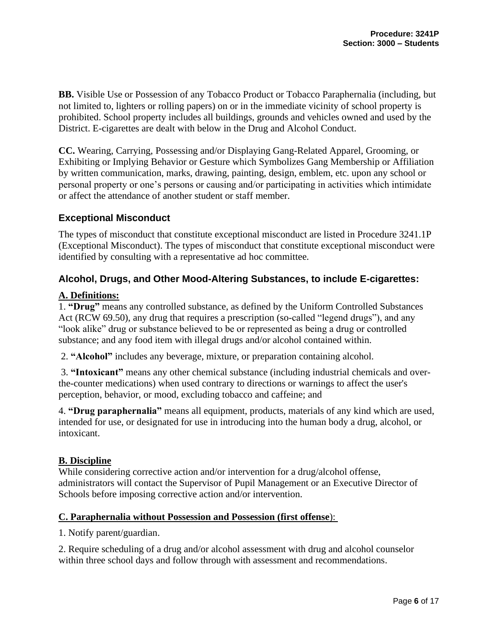**BB.** Visible Use or Possession of any Tobacco Product or Tobacco Paraphernalia (including, but not limited to, lighters or rolling papers) on or in the immediate vicinity of school property is prohibited. School property includes all buildings, grounds and vehicles owned and used by the District. E-cigarettes are dealt with below in the Drug and Alcohol Conduct.

**CC.** Wearing, Carrying, Possessing and/or Displaying Gang-Related Apparel, Grooming, or Exhibiting or Implying Behavior or Gesture which Symbolizes Gang Membership or Affiliation by written communication, marks, drawing, painting, design, emblem, etc. upon any school or personal property or one's persons or causing and/or participating in activities which intimidate or affect the attendance of another student or staff member.

# **Exceptional Misconduct**

The types of misconduct that constitute exceptional misconduct are listed in Procedure 3241.1P (Exceptional Misconduct). The types of misconduct that constitute exceptional misconduct were identified by consulting with a representative ad hoc committee.

## **Alcohol, Drugs, and Other Mood-Altering Substances, to include E-cigarettes:**

## **A. Definitions:**

1. **"Drug"** means any controlled substance, as defined by the Uniform Controlled Substances Act (RCW 69.50), any drug that requires a prescription (so-called "legend drugs"), and any "look alike" drug or substance believed to be or represented as being a drug or controlled substance; and any food item with illegal drugs and/or alcohol contained within.

2. **"Alcohol"** includes any beverage, mixture, or preparation containing alcohol.

3. **"Intoxicant"** means any other chemical substance (including industrial chemicals and overthe-counter medications) when used contrary to directions or warnings to affect the user's perception, behavior, or mood, excluding tobacco and caffeine; and

4. **"Drug paraphernalia"** means all equipment, products, materials of any kind which are used, intended for use, or designated for use in introducing into the human body a drug, alcohol, or intoxicant.

## **B. Discipline**

While considering corrective action and/or intervention for a drug/alcohol offense, administrators will contact the Supervisor of Pupil Management or an Executive Director of Schools before imposing corrective action and/or intervention.

#### **C. Paraphernalia without Possession and Possession (first offense**):

1. Notify parent/guardian.

2. Require scheduling of a drug and/or alcohol assessment with drug and alcohol counselor within three school days and follow through with assessment and recommendations.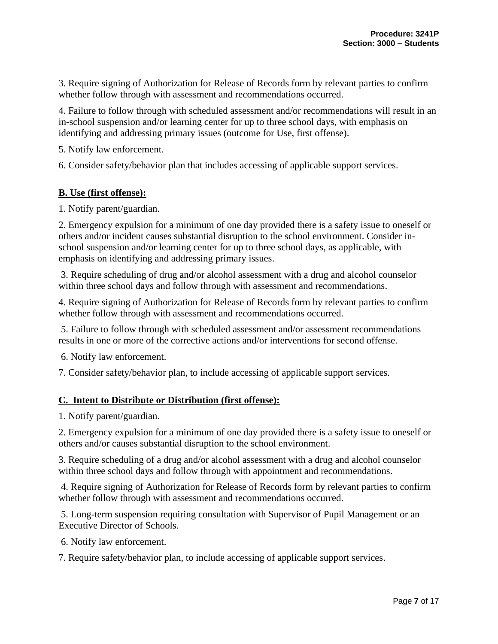3. Require signing of Authorization for Release of Records form by relevant parties to confirm whether follow through with assessment and recommendations occurred.

4. Failure to follow through with scheduled assessment and/or recommendations will result in an in-school suspension and/or learning center for up to three school days, with emphasis on identifying and addressing primary issues (outcome for Use, first offense).

5. Notify law enforcement.

6. Consider safety/behavior plan that includes accessing of applicable support services.

#### **B. Use (first offense):**

1. Notify parent/guardian.

2. Emergency expulsion for a minimum of one day provided there is a safety issue to oneself or others and/or incident causes substantial disruption to the school environment. Consider inschool suspension and/or learning center for up to three school days, as applicable, with emphasis on identifying and addressing primary issues.

3. Require scheduling of drug and/or alcohol assessment with a drug and alcohol counselor within three school days and follow through with assessment and recommendations.

4. Require signing of Authorization for Release of Records form by relevant parties to confirm whether follow through with assessment and recommendations occurred.

5. Failure to follow through with scheduled assessment and/or assessment recommendations results in one or more of the corrective actions and/or interventions for second offense.

6. Notify law enforcement.

7. Consider safety/behavior plan, to include accessing of applicable support services.

#### **C. Intent to Distribute or Distribution (first offense):**

1. Notify parent/guardian.

2. Emergency expulsion for a minimum of one day provided there is a safety issue to oneself or others and/or causes substantial disruption to the school environment.

3. Require scheduling of a drug and/or alcohol assessment with a drug and alcohol counselor within three school days and follow through with appointment and recommendations.

4. Require signing of Authorization for Release of Records form by relevant parties to confirm whether follow through with assessment and recommendations occurred.

5. Long-term suspension requiring consultation with Supervisor of Pupil Management or an Executive Director of Schools.

6. Notify law enforcement.

7. Require safety/behavior plan, to include accessing of applicable support services.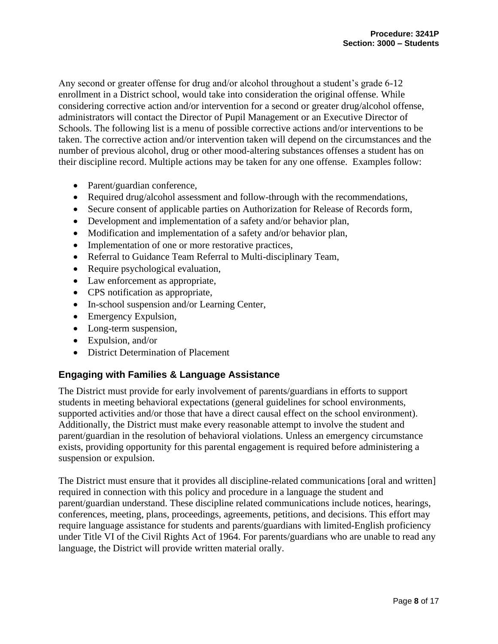Any second or greater offense for drug and/or alcohol throughout a student's grade 6-12 enrollment in a District school, would take into consideration the original offense. While considering corrective action and/or intervention for a second or greater drug/alcohol offense, administrators will contact the Director of Pupil Management or an Executive Director of Schools. The following list is a menu of possible corrective actions and/or interventions to be taken. The corrective action and/or intervention taken will depend on the circumstances and the number of previous alcohol, drug or other mood-altering substances offenses a student has on their discipline record. Multiple actions may be taken for any one offense. Examples follow:

- Parent/guardian conference,
- Required drug/alcohol assessment and follow-through with the recommendations,
- Secure consent of applicable parties on Authorization for Release of Records form,
- Development and implementation of a safety and/or behavior plan,
- Modification and implementation of a safety and/or behavior plan,
- Implementation of one or more restorative practices,
- Referral to Guidance Team Referral to Multi-disciplinary Team,
- Require psychological evaluation,
- Law enforcement as appropriate,
- CPS notification as appropriate,
- In-school suspension and/or Learning Center,
- Emergency Expulsion,
- Long-term suspension,
- Expulsion, and/or
- District Determination of Placement

# **Engaging with Families & Language Assistance**

The District must provide for early involvement of parents/guardians in efforts to support students in meeting behavioral expectations (general guidelines for school environments, supported activities and/or those that have a direct causal effect on the school environment). Additionally, the District must make every reasonable attempt to involve the student and parent/guardian in the resolution of behavioral violations. Unless an emergency circumstance exists, providing opportunity for this parental engagement is required before administering a suspension or expulsion.

The District must ensure that it provides all discipline-related communications [oral and written] required in connection with this policy and procedure in a language the student and parent/guardian understand. These discipline related communications include notices, hearings, conferences, meeting, plans, proceedings, agreements, petitions, and decisions. This effort may require language assistance for students and parents/guardians with limited-English proficiency under Title VI of the Civil Rights Act of 1964. For parents/guardians who are unable to read any language, the District will provide written material orally.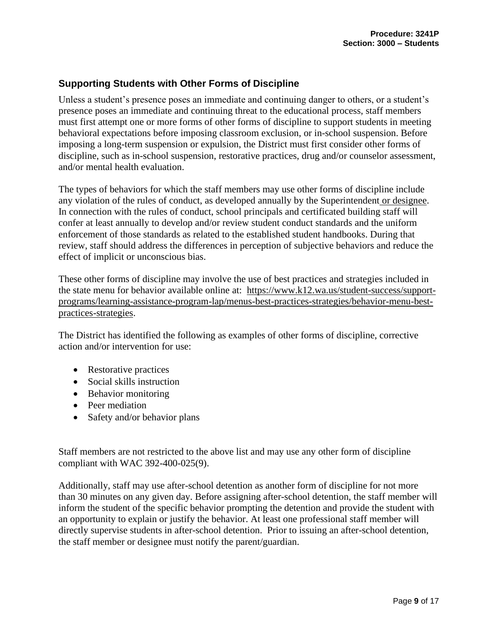# **Supporting Students with Other Forms of Discipline**

Unless a student's presence poses an immediate and continuing danger to others, or a student's presence poses an immediate and continuing threat to the educational process, staff members must first attempt one or more forms of other forms of discipline to support students in meeting behavioral expectations before imposing classroom exclusion, or in-school suspension. Before imposing a long-term suspension or expulsion, the District must first consider other forms of discipline, such as in-school suspension, restorative practices, drug and/or counselor assessment, and/or mental health evaluation.

The types of behaviors for which the staff members may use other forms of discipline include any violation of the rules of conduct, as developed annually by the Superintendent or designee. In connection with the rules of conduct, school principals and certificated building staff will confer at least annually to develop and/or review student conduct standards and the uniform enforcement of those standards as related to the established student handbooks. During that review, staff should address the differences in perception of subjective behaviors and reduce the effect of implicit or unconscious bias.

These other forms of discipline may involve the use of best practices and strategies included in the state menu for behavior available online at: [https://www.k12.wa.us/student-success/support](https://www.k12.wa.us/student-success/support-programs/learning-assistance-program-lap/menus-best-practices-strategies/behavior-menu-best-practices-strategies)[programs/learning-assistance-program-lap/menus-best-practices-strategies/behavior-menu-best](https://www.k12.wa.us/student-success/support-programs/learning-assistance-program-lap/menus-best-practices-strategies/behavior-menu-best-practices-strategies)[practices-strategies.](https://www.k12.wa.us/student-success/support-programs/learning-assistance-program-lap/menus-best-practices-strategies/behavior-menu-best-practices-strategies)

The District has identified the following as examples of other forms of discipline, corrective action and/or intervention for use:

- Restorative practices
- Social skills instruction
- Behavior monitoring
- Peer mediation
- Safety and/or behavior plans

Staff members are not restricted to the above list and may use any other form of discipline compliant with WAC 392-400-025(9).

Additionally, staff may use after-school detention as another form of discipline for not more than 30 minutes on any given day. Before assigning after-school detention, the staff member will inform the student of the specific behavior prompting the detention and provide the student with an opportunity to explain or justify the behavior. At least one professional staff member will directly supervise students in after-school detention. Prior to issuing an after-school detention, the staff member or designee must notify the parent/guardian.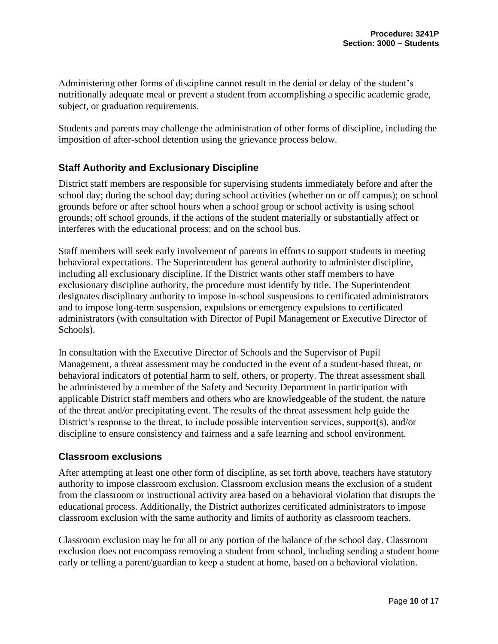Administering other forms of discipline cannot result in the denial or delay of the student's nutritionally adequate meal or prevent a student from accomplishing a specific academic grade, subject, or graduation requirements.

Students and parents may challenge the administration of other forms of discipline, including the imposition of after-school detention using the grievance process below.

# **Staff Authority and Exclusionary Discipline**

District staff members are responsible for supervising students immediately before and after the school day; during the school day; during school activities (whether on or off campus); on school grounds before or after school hours when a school group or school activity is using school grounds; off school grounds, if the actions of the student materially or substantially affect or interferes with the educational process; and on the school bus.

Staff members will seek early involvement of parents in efforts to support students in meeting behavioral expectations. The Superintendent has general authority to administer discipline, including all exclusionary discipline. If the District wants other staff members to have exclusionary discipline authority, the procedure must identify by title. The Superintendent designates disciplinary authority to impose in-school suspensions to certificated administrators and to impose long-term suspension, expulsions or emergency expulsions to certificated administrators (with consultation with Director of Pupil Management or Executive Director of Schools).

In consultation with the Executive Director of Schools and the Supervisor of Pupil Management, a threat assessment may be conducted in the event of a student-based threat, or behavioral indicators of potential harm to self, others, or property. The threat assessment shall be administered by a member of the Safety and Security Department in participation with applicable District staff members and others who are knowledgeable of the student, the nature of the threat and/or precipitating event. The results of the threat assessment help guide the District's response to the threat, to include possible intervention services, support(s), and/or discipline to ensure consistency and fairness and a safe learning and school environment.

## **Classroom exclusions**

After attempting at least one other form of discipline, as set forth above, teachers have statutory authority to impose classroom exclusion. Classroom exclusion means the exclusion of a student from the classroom or instructional activity area based on a behavioral violation that disrupts the educational process. Additionally, the District authorizes certificated administrators to impose classroom exclusion with the same authority and limits of authority as classroom teachers.

Classroom exclusion may be for all or any portion of the balance of the school day. Classroom exclusion does not encompass removing a student from school, including sending a student home early or telling a parent/guardian to keep a student at home, based on a behavioral violation.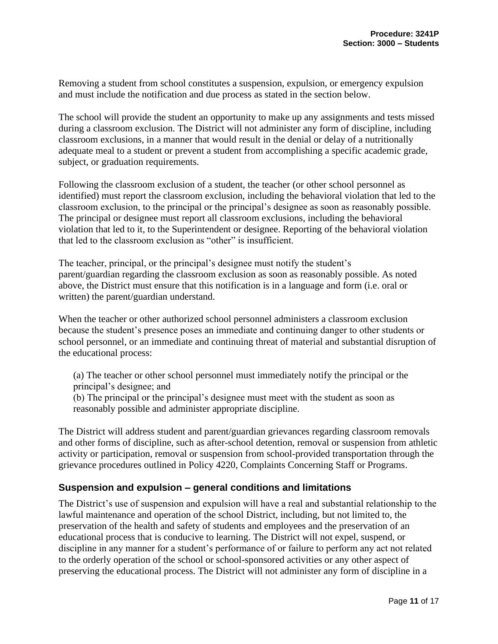Removing a student from school constitutes a suspension, expulsion, or emergency expulsion and must include the notification and due process as stated in the section below.

The school will provide the student an opportunity to make up any assignments and tests missed during a classroom exclusion. The District will not administer any form of discipline, including classroom exclusions, in a manner that would result in the denial or delay of a nutritionally adequate meal to a student or prevent a student from accomplishing a specific academic grade, subject, or graduation requirements.

Following the classroom exclusion of a student, the teacher (or other school personnel as identified) must report the classroom exclusion, including the behavioral violation that led to the classroom exclusion, to the principal or the principal's designee as soon as reasonably possible. The principal or designee must report all classroom exclusions, including the behavioral violation that led to it, to the Superintendent or designee. Reporting of the behavioral violation that led to the classroom exclusion as "other" is insufficient.

The teacher, principal, or the principal's designee must notify the student's parent/guardian regarding the classroom exclusion as soon as reasonably possible. As noted above, the District must ensure that this notification is in a language and form (i.e. oral or written) the parent/guardian understand.

When the teacher or other authorized school personnel administers a classroom exclusion because the student's presence poses an immediate and continuing danger to other students or school personnel, or an immediate and continuing threat of material and substantial disruption of the educational process:

(a) The teacher or other school personnel must immediately notify the principal or the principal's designee; and

(b) The principal or the principal's designee must meet with the student as soon as reasonably possible and administer appropriate discipline.

The District will address student and parent/guardian grievances regarding classroom removals and other forms of discipline, such as after-school detention, removal or suspension from athletic activity or participation, removal or suspension from school-provided transportation through the grievance procedures outlined in Policy 4220, Complaints Concerning Staff or Programs.

# **Suspension and expulsion – general conditions and limitations**

The District's use of suspension and expulsion will have a real and substantial relationship to the lawful maintenance and operation of the school District, including, but not limited to, the preservation of the health and safety of students and employees and the preservation of an educational process that is conducive to learning. The District will not expel, suspend, or discipline in any manner for a student's performance of or failure to perform any act not related to the orderly operation of the school or school-sponsored activities or any other aspect of preserving the educational process. The District will not administer any form of discipline in a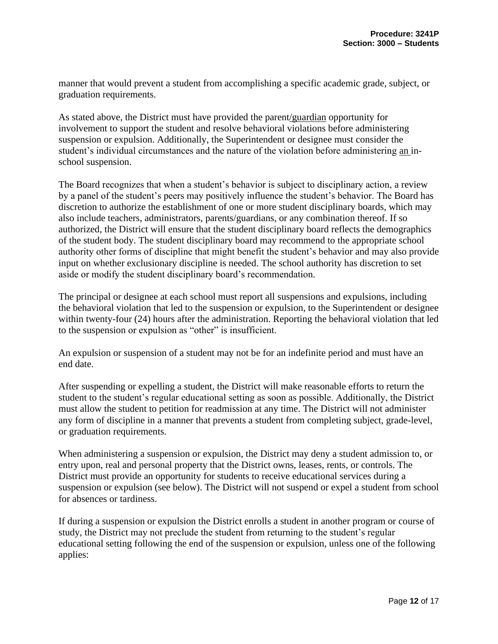manner that would prevent a student from accomplishing a specific academic grade, subject, or graduation requirements.

As stated above, the District must have provided the parent/guardian opportunity for involvement to support the student and resolve behavioral violations before administering suspension or expulsion. Additionally, the Superintendent or designee must consider the student's individual circumstances and the nature of the violation before administering an inschool suspension.

The Board recognizes that when a student's behavior is subject to disciplinary action, a review by a panel of the student's peers may positively influence the student's behavior. The Board has discretion to authorize the establishment of one or more student disciplinary boards, which may also include teachers, administrators, parents/guardians, or any combination thereof. If so authorized, the District will ensure that the student disciplinary board reflects the demographics of the student body. The student disciplinary board may recommend to the appropriate school authority other forms of discipline that might benefit the student's behavior and may also provide input on whether exclusionary discipline is needed. The school authority has discretion to set aside or modify the student disciplinary board's recommendation.

The principal or designee at each school must report all suspensions and expulsions, including the behavioral violation that led to the suspension or expulsion, to the Superintendent or designee within twenty-four (24) hours after the administration. Reporting the behavioral violation that led to the suspension or expulsion as "other" is insufficient.

An expulsion or suspension of a student may not be for an indefinite period and must have an end date.

After suspending or expelling a student, the District will make reasonable efforts to return the student to the student's regular educational setting as soon as possible. Additionally, the District must allow the student to petition for readmission at any time. The District will not administer any form of discipline in a manner that prevents a student from completing subject, grade-level, or graduation requirements.

When administering a suspension or expulsion, the District may deny a student admission to, or entry upon, real and personal property that the District owns, leases, rents, or controls. The District must provide an opportunity for students to receive educational services during a suspension or expulsion (see below). The District will not suspend or expel a student from school for absences or tardiness.

If during a suspension or expulsion the District enrolls a student in another program or course of study, the District may not preclude the student from returning to the student's regular educational setting following the end of the suspension or expulsion, unless one of the following applies: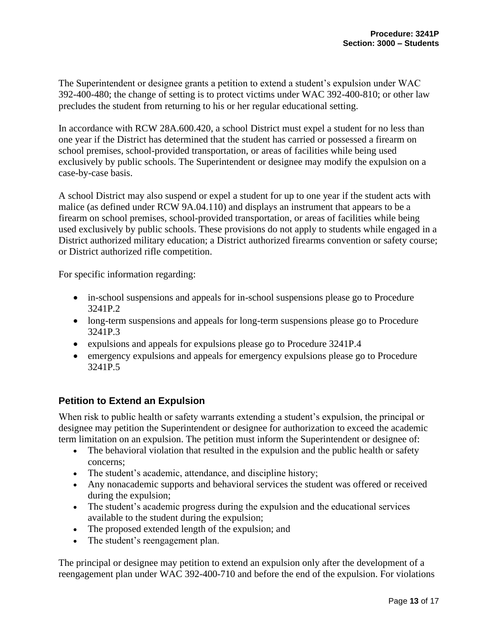The Superintendent or designee grants a petition to extend a student's expulsion under WAC 392-400-480; the change of setting is to protect victims under WAC 392-400-810; or other law precludes the student from returning to his or her regular educational setting.

In accordance with RCW 28A.600.420, a school District must expel a student for no less than one year if the District has determined that the student has carried or possessed a firearm on school premises, school-provided transportation, or areas of facilities while being used exclusively by public schools. The Superintendent or designee may modify the expulsion on a case-by-case basis.

A school District may also suspend or expel a student for up to one year if the student acts with malice (as defined under RCW 9A.04.110) and displays an instrument that appears to be a firearm on school premises, school-provided transportation, or areas of facilities while being used exclusively by public schools. These provisions do not apply to students while engaged in a District authorized military education; a District authorized firearms convention or safety course; or District authorized rifle competition.

For specific information regarding:

- in-school suspensions and appeals for in-school suspensions please go to Procedure 3241P.2
- long-term suspensions and appeals for long-term suspensions please go to Procedure 3241P.3
- expulsions and appeals for expulsions please go to Procedure 3241P.4
- emergency expulsions and appeals for emergency expulsions please go to Procedure 3241P.5

# **Petition to Extend an Expulsion**

When risk to public health or safety warrants extending a student's expulsion, the principal or designee may petition the Superintendent or designee for authorization to exceed the academic term limitation on an expulsion. The petition must inform the Superintendent or designee of:

- The behavioral violation that resulted in the expulsion and the public health or safety concerns;
- The student's academic, attendance, and discipline history;
- Any nonacademic supports and behavioral services the student was offered or received during the expulsion;
- The student's academic progress during the expulsion and the educational services available to the student during the expulsion;
- The proposed extended length of the expulsion; and
- The student's reengagement plan.

The principal or designee may petition to extend an expulsion only after the development of a reengagement plan under WAC 392-400-710 and before the end of the expulsion. For violations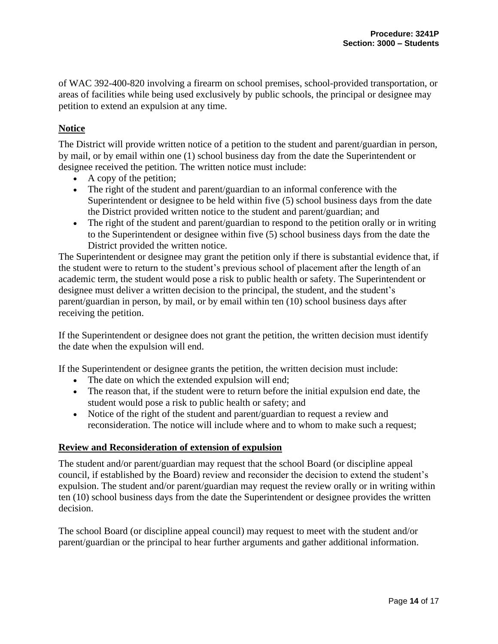of WAC 392-400-820 involving a firearm on school premises, school-provided transportation, or areas of facilities while being used exclusively by public schools, the principal or designee may petition to extend an expulsion at any time.

## **Notice**

The District will provide written notice of a petition to the student and parent/guardian in person, by mail, or by email within one (1) school business day from the date the Superintendent or designee received the petition. The written notice must include:

- A copy of the petition;
- The right of the student and parent/guardian to an informal conference with the Superintendent or designee to be held within five (5) school business days from the date the District provided written notice to the student and parent/guardian; and
- The right of the student and parent/guardian to respond to the petition orally or in writing to the Superintendent or designee within five (5) school business days from the date the District provided the written notice.

The Superintendent or designee may grant the petition only if there is substantial evidence that, if the student were to return to the student's previous school of placement after the length of an academic term, the student would pose a risk to public health or safety. The Superintendent or designee must deliver a written decision to the principal, the student, and the student's parent/guardian in person, by mail, or by email within ten (10) school business days after receiving the petition.

If the Superintendent or designee does not grant the petition, the written decision must identify the date when the expulsion will end.

If the Superintendent or designee grants the petition, the written decision must include:

- The date on which the extended expulsion will end;
- The reason that, if the student were to return before the initial expulsion end date, the student would pose a risk to public health or safety; and
- Notice of the right of the student and parent/guardian to request a review and reconsideration. The notice will include where and to whom to make such a request;

#### **Review and Reconsideration of extension of expulsion**

The student and/or parent/guardian may request that the school Board (or discipline appeal council, if established by the Board) review and reconsider the decision to extend the student's expulsion. The student and/or parent/guardian may request the review orally or in writing within ten (10) school business days from the date the Superintendent or designee provides the written decision.

The school Board (or discipline appeal council) may request to meet with the student and/or parent/guardian or the principal to hear further arguments and gather additional information.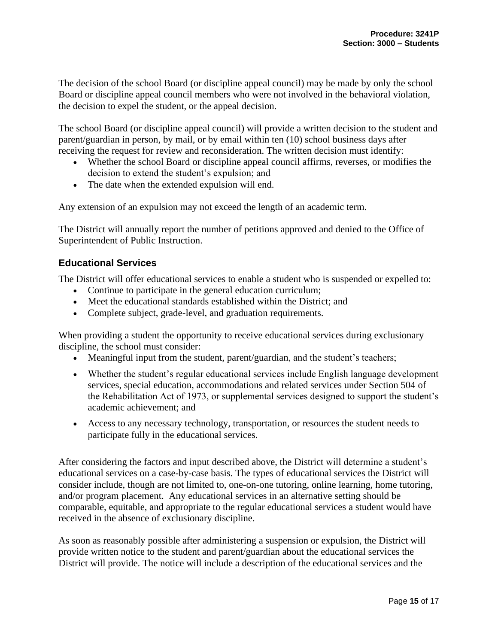The decision of the school Board (or discipline appeal council) may be made by only the school Board or discipline appeal council members who were not involved in the behavioral violation, the decision to expel the student, or the appeal decision.

The school Board (or discipline appeal council) will provide a written decision to the student and parent/guardian in person, by mail, or by email within ten (10) school business days after receiving the request for review and reconsideration. The written decision must identify:

- Whether the school Board or discipline appeal council affirms, reverses, or modifies the decision to extend the student's expulsion; and
- The date when the extended expulsion will end.

Any extension of an expulsion may not exceed the length of an academic term.

The District will annually report the number of petitions approved and denied to the Office of Superintendent of Public Instruction.

# **Educational Services**

The District will offer educational services to enable a student who is suspended or expelled to:

- Continue to participate in the general education curriculum;
- Meet the educational standards established within the District; and
- Complete subject, grade-level, and graduation requirements.

When providing a student the opportunity to receive educational services during exclusionary discipline, the school must consider:

- Meaningful input from the student, parent/guardian, and the student's teachers;
- Whether the student's regular educational services include English language development services, special education, accommodations and related services under Section 504 of the Rehabilitation Act of 1973, or supplemental services designed to support the student's academic achievement; and
- Access to any necessary technology, transportation, or resources the student needs to participate fully in the educational services.

After considering the factors and input described above, the District will determine a student's educational services on a case-by-case basis. The types of educational services the District will consider include, though are not limited to, one-on-one tutoring, online learning, home tutoring, and/or program placement. Any educational services in an alternative setting should be comparable, equitable, and appropriate to the regular educational services a student would have received in the absence of exclusionary discipline.

As soon as reasonably possible after administering a suspension or expulsion, the District will provide written notice to the student and parent/guardian about the educational services the District will provide. The notice will include a description of the educational services and the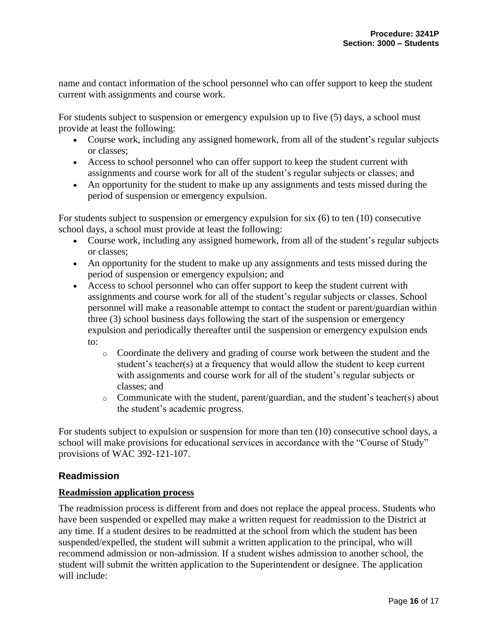name and contact information of the school personnel who can offer support to keep the student current with assignments and course work.

For students subject to suspension or emergency expulsion up to five (5) days, a school must provide at least the following:

- Course work, including any assigned homework, from all of the student's regular subjects or classes;
- Access to school personnel who can offer support to keep the student current with assignments and course work for all of the student's regular subjects or classes; and
- An opportunity for the student to make up any assignments and tests missed during the period of suspension or emergency expulsion.

For students subject to suspension or emergency expulsion for six (6) to ten (10) consecutive school days, a school must provide at least the following:

- Course work, including any assigned homework, from all of the student's regular subjects or classes;
- An opportunity for the student to make up any assignments and tests missed during the period of suspension or emergency expulsion; and
- Access to school personnel who can offer support to keep the student current with assignments and course work for all of the student's regular subjects or classes. School personnel will make a reasonable attempt to contact the student or parent/guardian within three (3) school business days following the start of the suspension or emergency expulsion and periodically thereafter until the suspension or emergency expulsion ends to:
	- o Coordinate the delivery and grading of course work between the student and the student's teacher(s) at a frequency that would allow the student to keep current with assignments and course work for all of the student's regular subjects or classes; and
	- o Communicate with the student, parent/guardian, and the student's teacher(s) about the student's academic progress.

For students subject to expulsion or suspension for more than ten (10) consecutive school days, a school will make provisions for educational services in accordance with the "Course of Study" provisions of WAC 392-121-107.

# **Readmission**

## **Readmission application process**

The readmission process is different from and does not replace the appeal process. Students who have been suspended or expelled may make a written request for readmission to the District at any time. If a student desires to be readmitted at the school from which the student has been suspended/expelled, the student will submit a written application to the principal, who will recommend admission or non-admission. If a student wishes admission to another school, the student will submit the written application to the Superintendent or designee. The application will include: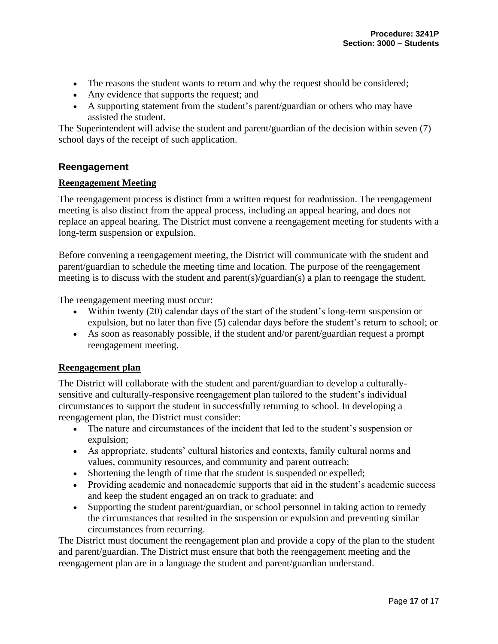- The reasons the student wants to return and why the request should be considered;
- Any evidence that supports the request; and
- A supporting statement from the student's parent/guardian or others who may have assisted the student.

The Superintendent will advise the student and parent/guardian of the decision within seven (7) school days of the receipt of such application.

## **Reengagement**

## **Reengagement Meeting**

The reengagement process is distinct from a written request for readmission. The reengagement meeting is also distinct from the appeal process, including an appeal hearing, and does not replace an appeal hearing. The District must convene a reengagement meeting for students with a long-term suspension or expulsion.

Before convening a reengagement meeting, the District will communicate with the student and parent/guardian to schedule the meeting time and location. The purpose of the reengagement meeting is to discuss with the student and parent(s)/guardian(s) a plan to reengage the student.

The reengagement meeting must occur:

- Within twenty (20) calendar days of the start of the student's long-term suspension or expulsion, but no later than five (5) calendar days before the student's return to school; or
- As soon as reasonably possible, if the student and/or parent/guardian request a prompt reengagement meeting.

#### **Reengagement plan**

The District will collaborate with the student and parent/guardian to develop a culturallysensitive and culturally-responsive reengagement plan tailored to the student's individual circumstances to support the student in successfully returning to school. In developing a reengagement plan, the District must consider:

- The nature and circumstances of the incident that led to the student's suspension or expulsion;
- As appropriate, students' cultural histories and contexts, family cultural norms and values, community resources, and community and parent outreach;
- Shortening the length of time that the student is suspended or expelled;
- Providing academic and nonacademic supports that aid in the student's academic success and keep the student engaged an on track to graduate; and
- Supporting the student parent/guardian, or school personnel in taking action to remedy the circumstances that resulted in the suspension or expulsion and preventing similar circumstances from recurring.

The District must document the reengagement plan and provide a copy of the plan to the student and parent/guardian. The District must ensure that both the reengagement meeting and the reengagement plan are in a language the student and parent/guardian understand.